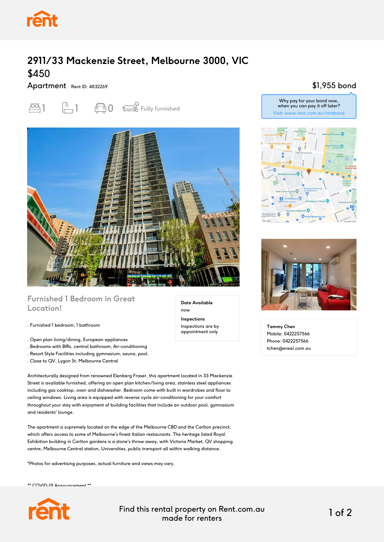

# **2911/33 Mackenzie Street, Melbourne 3000, VIC** \$450

#### Apartment Rent ID: 4832269





#### **Furnished 1 Bedroom in Great Location!**

. Furnished 1 bedroom, 1 bathroom

- . Open plan living/dining, European appliances
- . Bedrooms with BIRs, central bathroom, Air-conditioning
- . Resort Style Facilities including gymnasium, sauna, pool.
- . Close to QV, Lygon St, Melbourne Central

Architecturally designed from renowned Elenberg Fraser, this apartment located in 33 Mackenzie Street is available furnished, offering an open plan kitchen/living area, stainless steel appliances including gas cooktop, oven and dishwasher. Bedroom come with built in wardrobes and floor to ceiling windows. Living area is equipped with reverse cycle air-conditioning for your comfort throughout your stay with enjoyment of building facilities that include an outdoor pool, gymnasium and residents' lounge.

The apartment is supremely located on the edge of the Melbourne CBD and the Carlton precinct, which offers access to some of Melbourne's finest Italian restaurants. The heritage listed Royal Exhibition building in Carlton gardens is a stone's throw away, with Victoria Market, QV shopping centre, Melbourne Central station, Universities, public transport all within walking distance.

\*Photos for advertising purposes, actual furniture and views may vary.

\*\* COVID-19 Announcement \*\*



Find this rental property on Rent.com.au made for renters 1 of 2

**Date Available**

now **Inspections** Inspections are by appointment only

### \$1,955 bond

Why pay for your bond now, when you can pay it off later? Visit: www.rent.com.au/rentbond





**Tammy Chen** Mobile: 0422257566 Phone: 0422257566 tchen@ereal.com.au